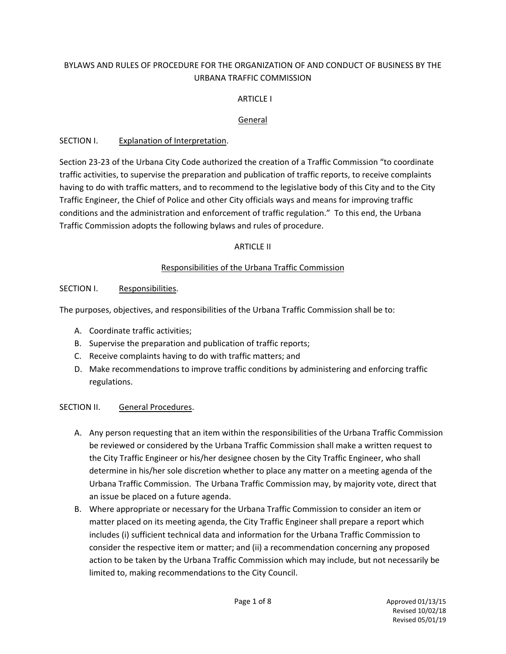# BYLAWS AND RULES OF PROCEDURE FOR THE ORGANIZATION OF AND CONDUCT OF BUSINESS BY THE URBANA TRAFFIC COMMISSION

## **ARTICLE I**

## General

## SECTION I. Explanation of Interpretation.

Section 23‐23 of the Urbana City Code authorized the creation of a Traffic Commission "to coordinate traffic activities, to supervise the preparation and publication of traffic reports, to receive complaints having to do with traffic matters, and to recommend to the legislative body of this City and to the City Traffic Engineer, the Chief of Police and other City officials ways and means for improving traffic conditions and the administration and enforcement of traffic regulation." To this end, the Urbana Traffic Commission adopts the following bylaws and rules of procedure.

## ARTICLE II

## Responsibilities of the Urbana Traffic Commission

#### SECTION I. Responsibilities.

The purposes, objectives, and responsibilities of the Urbana Traffic Commission shall be to:

- A. Coordinate traffic activities;
- B. Supervise the preparation and publication of traffic reports;
- C. Receive complaints having to do with traffic matters; and
- D. Make recommendations to improve traffic conditions by administering and enforcing traffic regulations.

#### SECTION II. General Procedures.

- A. Any person requesting that an item within the responsibilities of the Urbana Traffic Commission be reviewed or considered by the Urbana Traffic Commission shall make a written request to the City Traffic Engineer or his/her designee chosen by the City Traffic Engineer, who shall determine in his/her sole discretion whether to place any matter on a meeting agenda of the Urbana Traffic Commission. The Urbana Traffic Commission may, by majority vote, direct that an issue be placed on a future agenda.
- B. Where appropriate or necessary for the Urbana Traffic Commission to consider an item or matter placed on its meeting agenda, the City Traffic Engineer shall prepare a report which includes (i) sufficient technical data and information for the Urbana Traffic Commission to consider the respective item or matter; and (ii) a recommendation concerning any proposed action to be taken by the Urbana Traffic Commission which may include, but not necessarily be limited to, making recommendations to the City Council.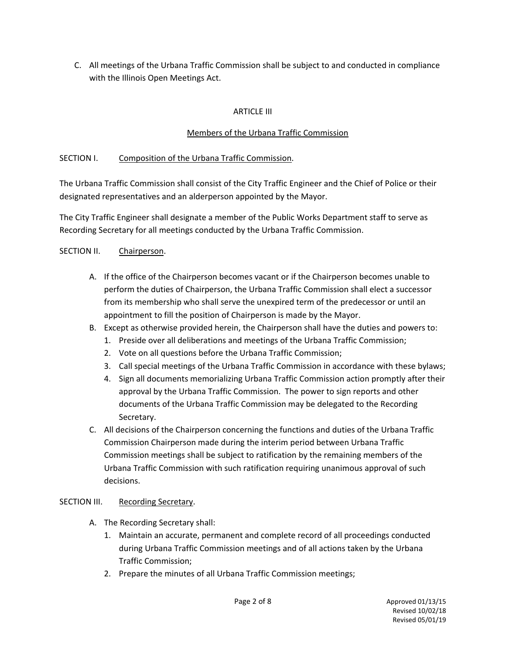C. All meetings of the Urbana Traffic Commission shall be subject to and conducted in compliance with the Illinois Open Meetings Act.

# ARTICLE III

## Members of the Urbana Traffic Commission

#### SECTION I. Composition of the Urbana Traffic Commission.

The Urbana Traffic Commission shall consist of the City Traffic Engineer and the Chief of Police or their designated representatives and an alderperson appointed by the Mayor.

The City Traffic Engineer shall designate a member of the Public Works Department staff to serve as Recording Secretary for all meetings conducted by the Urbana Traffic Commission.

#### SECTION II. Chairperson.

- A. If the office of the Chairperson becomes vacant or if the Chairperson becomes unable to perform the duties of Chairperson, the Urbana Traffic Commission shall elect a successor from its membership who shall serve the unexpired term of the predecessor or until an appointment to fill the position of Chairperson is made by the Mayor.
- B. Except as otherwise provided herein, the Chairperson shall have the duties and powers to:
	- 1. Preside over all deliberations and meetings of the Urbana Traffic Commission;
	- 2. Vote on all questions before the Urbana Traffic Commission;
	- 3. Call special meetings of the Urbana Traffic Commission in accordance with these bylaws;
	- 4. Sign all documents memorializing Urbana Traffic Commission action promptly after their approval by the Urbana Traffic Commission. The power to sign reports and other documents of the Urbana Traffic Commission may be delegated to the Recording Secretary.
- C. All decisions of the Chairperson concerning the functions and duties of the Urbana Traffic Commission Chairperson made during the interim period between Urbana Traffic Commission meetings shall be subject to ratification by the remaining members of the Urbana Traffic Commission with such ratification requiring unanimous approval of such decisions.

#### SECTION III. Recording Secretary.

- A. The Recording Secretary shall:
	- 1. Maintain an accurate, permanent and complete record of all proceedings conducted during Urbana Traffic Commission meetings and of all actions taken by the Urbana Traffic Commission;
	- 2. Prepare the minutes of all Urbana Traffic Commission meetings;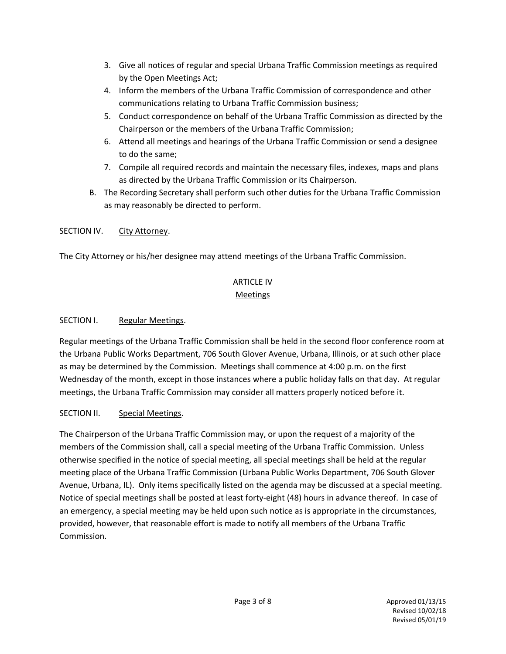- 3. Give all notices of regular and special Urbana Traffic Commission meetings as required by the Open Meetings Act;
- 4. Inform the members of the Urbana Traffic Commission of correspondence and other communications relating to Urbana Traffic Commission business;
- 5. Conduct correspondence on behalf of the Urbana Traffic Commission as directed by the Chairperson or the members of the Urbana Traffic Commission;
- 6. Attend all meetings and hearings of the Urbana Traffic Commission or send a designee to do the same;
- 7. Compile all required records and maintain the necessary files, indexes, maps and plans as directed by the Urbana Traffic Commission or its Chairperson.
- B. The Recording Secretary shall perform such other duties for the Urbana Traffic Commission as may reasonably be directed to perform.

## SECTION IV. City Attorney.

The City Attorney or his/her designee may attend meetings of the Urbana Traffic Commission.

# ARTICLE IV

# **Meetings**

## SECTION I. Regular Meetings.

Regular meetings of the Urbana Traffic Commission shall be held in the second floor conference room at the Urbana Public Works Department, 706 South Glover Avenue, Urbana, Illinois, or at such other place as may be determined by the Commission. Meetings shall commence at 4:00 p.m. on the first Wednesday of the month, except in those instances where a public holiday falls on that day. At regular meetings, the Urbana Traffic Commission may consider all matters properly noticed before it.

# SECTION II. Special Meetings.

The Chairperson of the Urbana Traffic Commission may, or upon the request of a majority of the members of the Commission shall, call a special meeting of the Urbana Traffic Commission. Unless otherwise specified in the notice of special meeting, all special meetings shall be held at the regular meeting place of the Urbana Traffic Commission (Urbana Public Works Department, 706 South Glover Avenue, Urbana, IL). Only items specifically listed on the agenda may be discussed at a special meeting. Notice of special meetings shall be posted at least forty‐eight (48) hours in advance thereof. In case of an emergency, a special meeting may be held upon such notice as is appropriate in the circumstances, provided, however, that reasonable effort is made to notify all members of the Urbana Traffic Commission.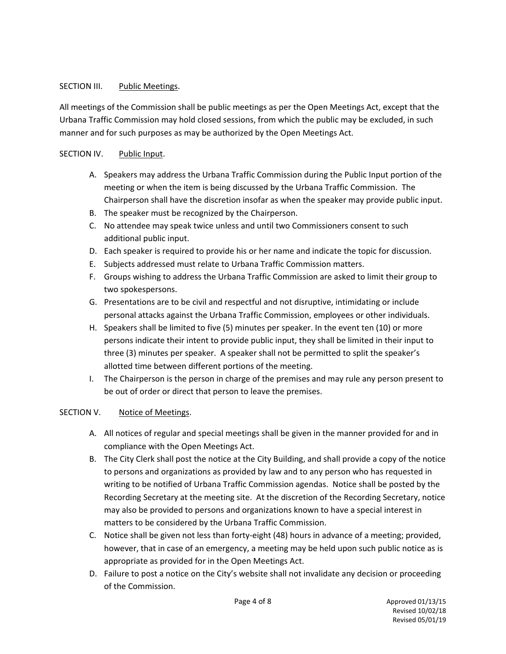## SECTION III. Public Meetings.

All meetings of the Commission shall be public meetings as per the Open Meetings Act, except that the Urbana Traffic Commission may hold closed sessions, from which the public may be excluded, in such manner and for such purposes as may be authorized by the Open Meetings Act.

## SECTION IV. Public Input.

- A. Speakers may address the Urbana Traffic Commission during the Public Input portion of the meeting or when the item is being discussed by the Urbana Traffic Commission. The Chairperson shall have the discretion insofar as when the speaker may provide public input.
- B. The speaker must be recognized by the Chairperson.
- C. No attendee may speak twice unless and until two Commissioners consent to such additional public input.
- D. Each speaker is required to provide his or her name and indicate the topic for discussion.
- E. Subjects addressed must relate to Urbana Traffic Commission matters.
- F. Groups wishing to address the Urbana Traffic Commission are asked to limit their group to two spokespersons.
- G. Presentations are to be civil and respectful and not disruptive, intimidating or include personal attacks against the Urbana Traffic Commission, employees or other individuals.
- H. Speakers shall be limited to five (5) minutes per speaker. In the event ten (10) or more persons indicate their intent to provide public input, they shall be limited in their input to three (3) minutes per speaker. A speaker shall not be permitted to split the speaker's allotted time between different portions of the meeting.
- I. The Chairperson is the person in charge of the premises and may rule any person present to be out of order or direct that person to leave the premises.

#### SECTION V. Notice of Meetings.

- A. All notices of regular and special meetings shall be given in the manner provided for and in compliance with the Open Meetings Act.
- B. The City Clerk shall post the notice at the City Building, and shall provide a copy of the notice to persons and organizations as provided by law and to any person who has requested in writing to be notified of Urbana Traffic Commission agendas. Notice shall be posted by the Recording Secretary at the meeting site. At the discretion of the Recording Secretary, notice may also be provided to persons and organizations known to have a special interest in matters to be considered by the Urbana Traffic Commission.
- C. Notice shall be given not less than forty‐eight (48) hours in advance of a meeting; provided, however, that in case of an emergency, a meeting may be held upon such public notice as is appropriate as provided for in the Open Meetings Act.
- D. Failure to post a notice on the City's website shall not invalidate any decision or proceeding of the Commission.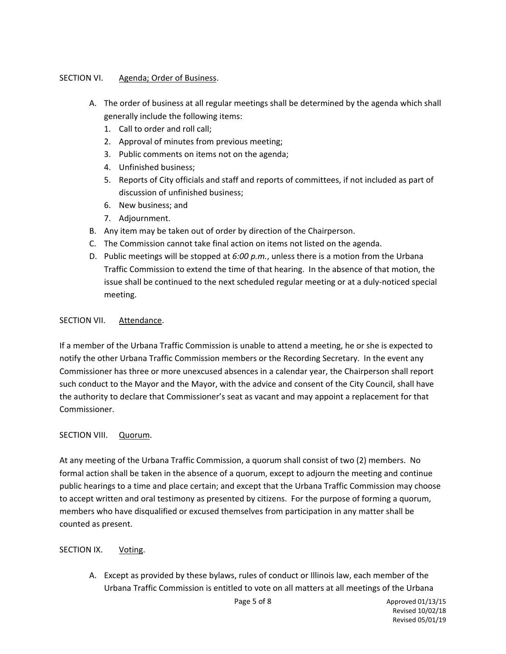## SECTION VI. Agenda; Order of Business.

- A. The order of business at all regular meetings shall be determined by the agenda which shall generally include the following items:
	- 1. Call to order and roll call;
	- 2. Approval of minutes from previous meeting;
	- 3. Public comments on items not on the agenda;
	- 4. Unfinished business;
	- 5. Reports of City officials and staff and reports of committees, if not included as part of discussion of unfinished business;
	- 6. New business; and
	- 7. Adjournment.
- B. Any item may be taken out of order by direction of the Chairperson.
- C. The Commission cannot take final action on items not listed on the agenda.
- D. Public meetings will be stopped at *6:00 p.m.*, unless there is a motion from the Urbana Traffic Commission to extend the time of that hearing. In the absence of that motion, the issue shall be continued to the next scheduled regular meeting or at a duly-noticed special meeting.

## SECTION VII. Attendance.

If a member of the Urbana Traffic Commission is unable to attend a meeting, he or she is expected to notify the other Urbana Traffic Commission members or the Recording Secretary. In the event any Commissioner has three or more unexcused absences in a calendar year, the Chairperson shall report such conduct to the Mayor and the Mayor, with the advice and consent of the City Council, shall have the authority to declare that Commissioner's seat as vacant and may appoint a replacement for that Commissioner.

#### SECTION VIII. Quorum.

At any meeting of the Urbana Traffic Commission, a quorum shall consist of two (2) members. No formal action shall be taken in the absence of a quorum, except to adjourn the meeting and continue public hearings to a time and place certain; and except that the Urbana Traffic Commission may choose to accept written and oral testimony as presented by citizens. For the purpose of forming a quorum, members who have disqualified or excused themselves from participation in any matter shall be counted as present.

#### SECTION IX. Voting.

A. Except as provided by these bylaws, rules of conduct or Illinois law, each member of the Urbana Traffic Commission is entitled to vote on all matters at all meetings of the Urbana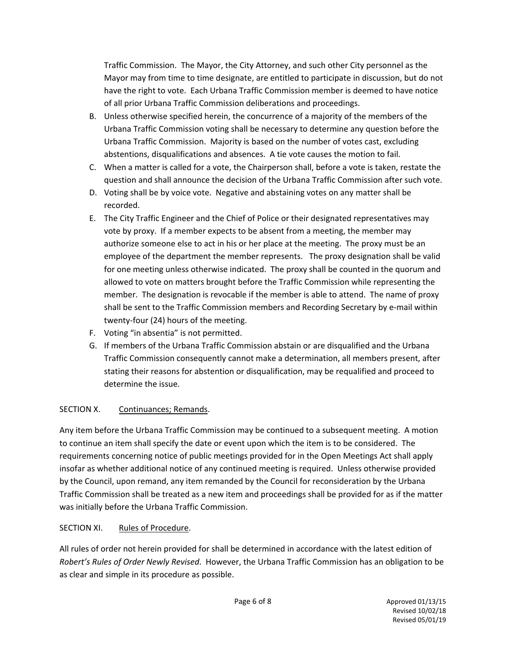Traffic Commission. The Mayor, the City Attorney, and such other City personnel as the Mayor may from time to time designate, are entitled to participate in discussion, but do not have the right to vote. Each Urbana Traffic Commission member is deemed to have notice of all prior Urbana Traffic Commission deliberations and proceedings.

- B. Unless otherwise specified herein, the concurrence of a majority of the members of the Urbana Traffic Commission voting shall be necessary to determine any question before the Urbana Traffic Commission. Majority is based on the number of votes cast, excluding abstentions, disqualifications and absences. A tie vote causes the motion to fail.
- C. When a matter is called for a vote, the Chairperson shall, before a vote is taken, restate the question and shall announce the decision of the Urbana Traffic Commission after such vote.
- D. Voting shall be by voice vote. Negative and abstaining votes on any matter shall be recorded.
- E. The City Traffic Engineer and the Chief of Police or their designated representatives may vote by proxy. If a member expects to be absent from a meeting, the member may authorize someone else to act in his or her place at the meeting. The proxy must be an employee of the department the member represents. The proxy designation shall be valid for one meeting unless otherwise indicated. The proxy shall be counted in the quorum and allowed to vote on matters brought before the Traffic Commission while representing the member. The designation is revocable if the member is able to attend. The name of proxy shall be sent to the Traffic Commission members and Recording Secretary by e-mail within twenty‐four (24) hours of the meeting.
- F. Voting "in absentia" is not permitted.
- G. If members of the Urbana Traffic Commission abstain or are disqualified and the Urbana Traffic Commission consequently cannot make a determination, all members present, after stating their reasons for abstention or disqualification, may be requalified and proceed to determine the issue.

# SECTION X. Continuances; Remands.

Any item before the Urbana Traffic Commission may be continued to a subsequent meeting. A motion to continue an item shall specify the date or event upon which the item is to be considered. The requirements concerning notice of public meetings provided for in the Open Meetings Act shall apply insofar as whether additional notice of any continued meeting is required. Unless otherwise provided by the Council, upon remand, any item remanded by the Council for reconsideration by the Urbana Traffic Commission shall be treated as a new item and proceedings shall be provided for as if the matter was initially before the Urbana Traffic Commission.

# SECTION XI. Rules of Procedure.

All rules of order not herein provided for shall be determined in accordance with the latest edition of *Robert's Rules of Order Newly Revised*. However, the Urbana Traffic Commission has an obligation to be as clear and simple in its procedure as possible.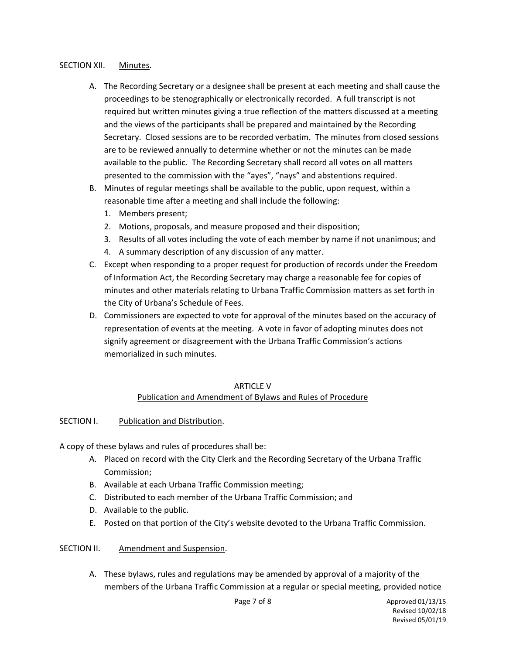#### SECTION XII. Minutes.

- A. The Recording Secretary or a designee shall be present at each meeting and shall cause the proceedings to be stenographically or electronically recorded. A full transcript is not required but written minutes giving a true reflection of the matters discussed at a meeting and the views of the participants shall be prepared and maintained by the Recording Secretary. Closed sessions are to be recorded verbatim. The minutes from closed sessions are to be reviewed annually to determine whether or not the minutes can be made available to the public. The Recording Secretary shall record all votes on all matters presented to the commission with the "ayes", "nays" and abstentions required.
- B. Minutes of regular meetings shall be available to the public, upon request, within a reasonable time after a meeting and shall include the following:
	- 1. Members present;
	- 2. Motions, proposals, and measure proposed and their disposition;
	- 3. Results of all votes including the vote of each member by name if not unanimous; and
	- 4. A summary description of any discussion of any matter.
- C. Except when responding to a proper request for production of records under the Freedom of Information Act, the Recording Secretary may charge a reasonable fee for copies of minutes and other materials relating to Urbana Traffic Commission matters as set forth in the City of Urbana's Schedule of Fees.
- D. Commissioners are expected to vote for approval of the minutes based on the accuracy of representation of events at the meeting. A vote in favor of adopting minutes does not signify agreement or disagreement with the Urbana Traffic Commission's actions memorialized in such minutes.

#### ARTICLE V Publication and Amendment of Bylaws and Rules of Procedure

#### SECTION I. Publication and Distribution.

A copy of these bylaws and rules of procedures shall be:

- A. Placed on record with the City Clerk and the Recording Secretary of the Urbana Traffic Commission;
- B. Available at each Urbana Traffic Commission meeting;
- C. Distributed to each member of the Urbana Traffic Commission; and
- D. Available to the public.
- E. Posted on that portion of the City's website devoted to the Urbana Traffic Commission.

#### SECTION II. Amendment and Suspension.

A. These bylaws, rules and regulations may be amended by approval of a majority of the members of the Urbana Traffic Commission at a regular or special meeting, provided notice